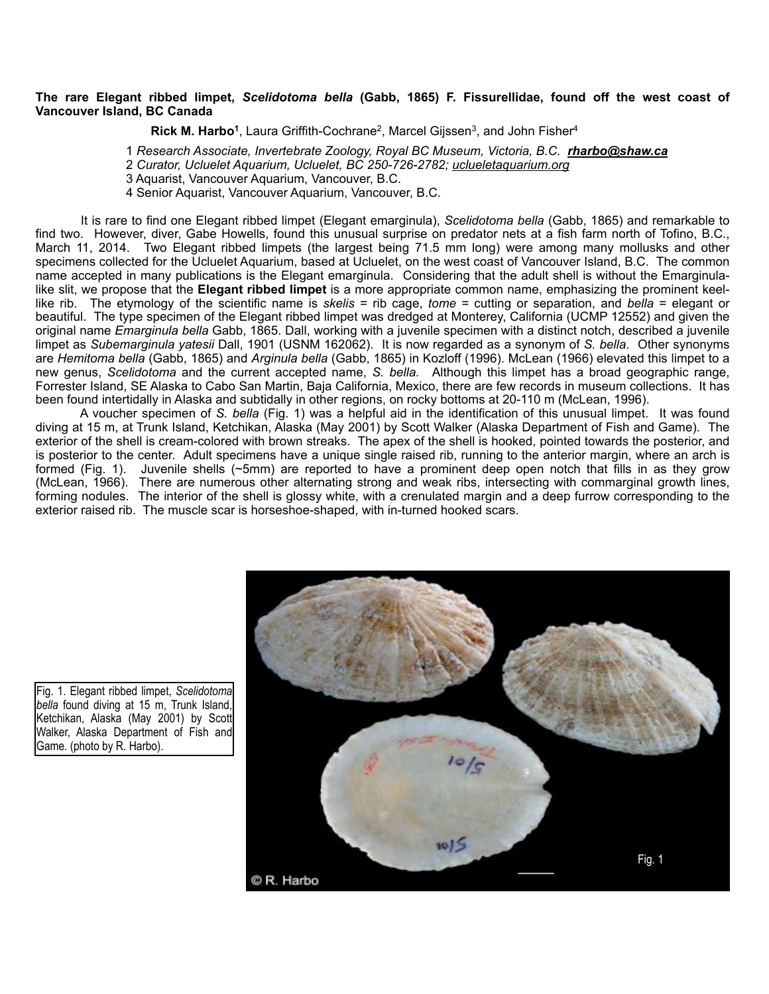## **The rare Elegant ribbed limpet,** *Scelidotoma bella* **(Gabb, 1865) F. Fissurellidae, found off the west coast of Vancouver Island, BC Canada**

Rick M. Harbo<sup>1</sup>, Laura Griffith-Cochrane<sup>2</sup>, Marcel Gijssen<sup>3</sup>, and John Fisher<sup>4</sup>

1 *Research Associate, Invertebrate Zoology, Royal BC Museum, Victoria, B.C. [rharbo@shaw.ca](mailto:rharbo@shaw.ca)*

2 *Curator, Ucluelet Aquarium, Ucluelet, BC 250-726-2782; [uclueletaquarium.org](http://uclueletaquarium.org/)*

3 Aquarist, Vancouver Aquarium, Vancouver, B.C.

4 Senior Aquarist, Vancouver Aquarium, Vancouver, B.C.

 It is rare to find one Elegant ribbed limpet (Elegant emarginula), *Scelidotoma bella* (Gabb, 1865) and remarkable to find two. However, diver, Gabe Howells, found this unusual surprise on predator nets at a fish farm north of Tofino, B.C., March 11, 2014. Two Elegant ribbed limpets (the largest being 71.5 mm long) were among many mollusks and other specimens collected for the Ucluelet Aquarium, based at Ucluelet, on the west coast of Vancouver Island, B.C. The common name accepted in many publications is the Elegant emarginula. Considering that the adult shell is without the Emarginulalike slit, we propose that the **Elegant ribbed limpet** is a more appropriate common name, emphasizing the prominent keellike rib. The etymology of the scientific name is *skelis* = rib cage, *tome* = cutting or separation, and *bella* = elegant or beautiful. The type specimen of the Elegant ribbed limpet was dredged at Monterey, California (UCMP 12552) and given the original name *Emarginula bella* Gabb, 1865. Dall, working with a juvenile specimen with a distinct notch, described a juvenile limpet as *Subemarginula yatesii* Dall, 1901 (USNM 162062). It is now regarded as a synonym of *S. bella*. Other synonyms are *Hemitoma bella* (Gabb, 1865) and *Arginula bella* (Gabb, 1865) in Kozloff (1996). McLean (1966) elevated this limpet to a new genus, *Scelidotoma* and the current accepted name, *S. bella.* Although this limpet has a broad geographic range, Forrester Island, SE Alaska to Cabo San Martin, Baja California, Mexico, there are few records in museum collections. It has been found intertidally in Alaska and subtidally in other regions, on rocky bottoms at 20-110 m (McLean, 1996).

 A voucher specimen of *S. bella* (Fig. 1) was a helpful aid in the identification of this unusual limpet. It was found diving at 15 m, at Trunk Island, Ketchikan, Alaska (May 2001) by Scott Walker (Alaska Department of Fish and Game). The exterior of the shell is cream-colored with brown streaks. The apex of the shell is hooked, pointed towards the posterior, and is posterior to the center. Adult specimens have a unique single raised rib, running to the anterior margin, where an arch is formed (Fig. 1). Juvenile shells (~5mm) are reported to have a prominent deep open notch that fills in as they grow (McLean, 1966). There are numerous other alternating strong and weak ribs, intersecting with commarginal growth lines, forming nodules. The interior of the shell is glossy white, with a crenulated margin and a deep furrow corresponding to the exterior raised rib. The muscle scar is horseshoe-shaped, with in-turned hooked scars.



Fig. 1. Elegant ribbed limpet, *Scelidotoma bella* found diving at 15 m, Trunk Island, Ketchikan, Alaska (May 2001) by Scott Walker, Alaska Department of Fish and Game. (photo by R. Harbo).